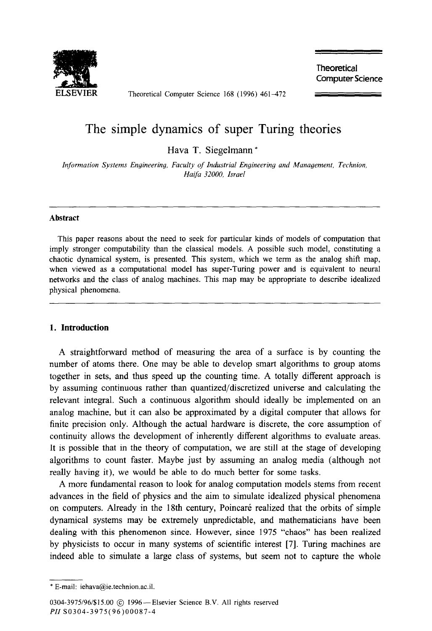

Theoretical Computer Science 168 (1996) 461-472

**Theoretical Computer Science** 

# The simple dynamics of super Turing theories

Hava T. Siegelmann \*

*Information Systems Engineering, Faculty of Industrial Engineering and Munagement, Technion, Haifb 32000, Israel* 

#### **Abstract**

This paper reasons about the need to seek for particular kinds of models of computation that imply stronger computability than the classical models. A possible such model, constituting a chaotic dynamical system, is presented. This system, which we term as the analog shift map, when viewed as a computational model has super-Turing power and is equivalent to neural networks and the class of analog machines. This map may be appropriate to describe idealized physical phenomena.

#### **1. Introduction**

A straightforward method of measuring the area of a surface is by counting the number of atoms there. One may be able to develop smart algorithms to group atoms together in sets, and thus speed up the counting time. A totally different approach is by assuming continuous rather than quantized/discretized universe and calculating the relevant integral. Such a continuous algorithm should ideally be implemented on an analog machine, but it can also be approximated by a digital computer that allows for finite precision only. Although the actual hardware is discrete, the core assumption of continuity allows the development of inherently different algorithms to evaluate areas. It is possible that in the theory of computation, we are still at the stage of developing algorithms to count faster. Maybe just by assuming an analog media (although not really having it), we would be able to do much better for some tasks.

A more fundamental reason to look for analog computation models stems from recent advances in the field of physics and the aim to simulate idealized physical phenomena on computers. Already in the 18th century, Poincaré realized that the orbits of simple dynamical systems may be extremely unpredictable, and mathematicians have been dealing with this phenomenon since. However, since 1975 "chaos" has been realized by physicists to occur in many systems of scientific interest [7]. Turing machines are indeed able to simulate a large class of systems, but seem not to capture the whole

<sup>\*</sup> E-mail: iehava@ie.technion.ac.il.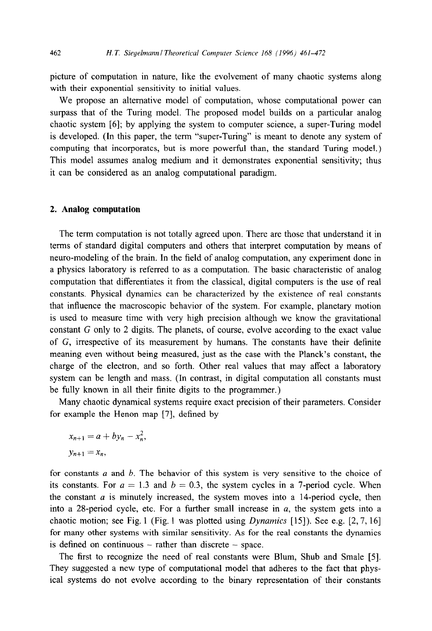picture of computation in nature, like the evolvement of many chaotic systems along with their exponential sensitivity to initial values.

We propose an alternative model of computation, whose computational power can surpass that of the Turing model. The proposed model builds on a particular analog chaotic system [6]; by applying the system to computer science, a super-Turing model is developed. (In this paper, the term "super-Turing" is meant to denote any system of computing that incorporates, but is more powerful than, the standard Turing model.) This model assumes analog medium and it demonstrates exponential sensitivity; thus it can be considered as an analog computational paradigm.

#### 2. **Analog computation**

The term computation is not totally agreed upon. There are those that understand it in terms of standard digital computers and others that interpret computation by means of neuro-modeling of the brain. In the field of analog computation, any experiment done in a physics laboratory is referred to as a computation. The basic characteristic of analog computation that differentiates it from the classical, digital computers is the use of real constants. Physical dynamics can be characterized by the existence of real constants that influence the macroscopic behavior of the system. For example, planetary motion is used to measure time with very high precision although we know the gravitational constant G only to 2 digits. The planets, of course, evolve according to the exact value of G, irrespective of its measurement by humans. The constants have their definite meaning even without being measured, just as the case with the Planck's constant, the charge of the electron, and so forth. Other real values that may affect a laboratory system can be length and mass. (In contrast, in digital computation all constants must be fully known in all their finite digits to the programmer.)

Many chaotic dynamical systems require exact precision of their parameters. Consider for example the Henon map [7], defined by

$$
x_{n+1} = a + by_n - x_n^2,
$$
  

$$
y_{n+1} = x_n,
$$

for constants *a* and *b.* The behavior of this system is very sensitive to the choice of its constants. For  $a = 1.3$  and  $b = 0.3$ , the system cycles in a 7-period cycle. When the constant  $a$  is minutely increased, the system moves into a 14-period cycle, then into a 28-period cycle, etc. For a further small increase in  $a$ , the system gets into a chaotic motion; see Fig. 1 (Fig. 1 was plotted using *Dynamics* [15]). See e.g. *[2,7, 161*  for many other systems with similar sensitivity. As for the real constants the dynamics is defined on continuous  $-$  rather than discrete  $-$  space.

The first to recognize the need of real constants were Blum, Shub and Smale [5]. They suggested a new type of computational model that adheres to the fact that physical systems do not evolve according to the binary representation of their constants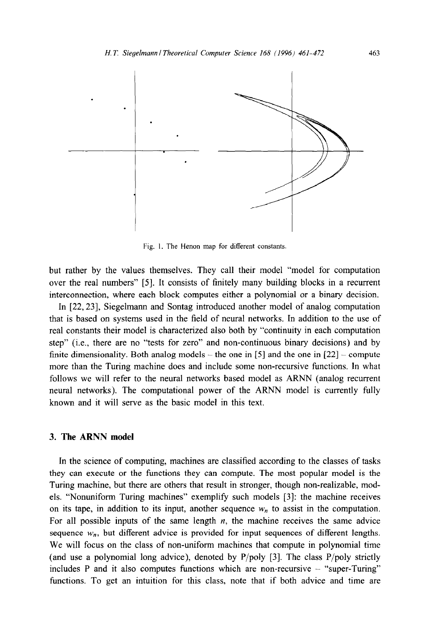

Fig. I. The Henon map for different constants.

but rather by the values themselves. They call their model "model for computation over the real numbers" [5]. It consists of finitely many building blocks in a recurrent interconnection, where each block computes either a polynomial or a binary decision.

In [22,23], Siegelmann and Sontag introduced another model of analog computation that is based on systems used in the field of neural networks. In addition to the use of real constants their model is characterized also both by "continuity in each computation step" (i.e., there are no "tests for zero" and non-continuous binary decisions) and by finite dimensionality. Both analog models  $-$  the one in [5] and the one in [22]  $-$  compute more than the Turing machine does and include some non-recursive functions. In what follows we will refer to the neural networks based model as ARNN (analog recurrent neural networks). The computational power of the ARNN model is currently fully known and it will serve as the basic model in this text.

## 3. **The ARNN model**

In the science of computing, machines are classified according to the classes of tasks they can execute or the functions they can compute. The most popular model is the Turing machine, but there are others that result in stronger, though non-realizable, models. "Nonuniform Turing machines" exemplify such models [3]: the machine receives on its tape, in addition to its input, another sequence  $w_n$  to assist in the computation. For all possible inputs of the same length  $n$ , the machine receives the same advice sequence  $w_n$ , but different advice is provided for input sequences of different lengths. We will focus on the class of non-uniform machines that compute in polynomial time (and use a polynomial long advice), denoted by  $P/poly$  [3]. The class  $P/poly$  strictly includes P and it also computes functions which are non-recursive - "super-Turing" functions. To get an intuition for this class, note that if both advice and time are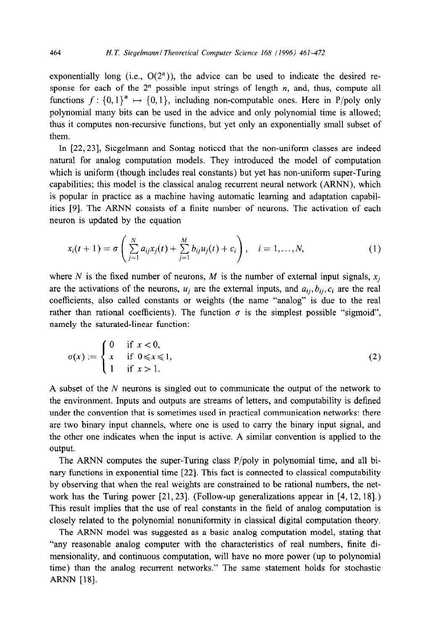exponentially long (i.e.,  $O(2^n)$ ), the advice can be used to indicate the desired response for each of the  $2<sup>n</sup>$  possible input strings of length *n*, and, thus, compute all functions  $f: \{0,1\}^* \mapsto \{0,1\}$ , including non-computable ones. Here in P/poly only polynomial many bits can be used in the advice and only polynomial time is allowed; thus it computes non-recursive functions, but yet only an exponentially small subset of them.

In [22,23], Siegelmann and Sontag noticed that the non-uniform classes are indeed natural for analog computation models. They introduced the model of computation which is uniform (though includes real constants) but yet has non-uniform super-Turing capabilities; this model is the classical analog recurrent neural network (ARNN), which is popular in practice as a machine having automatic learning and adaptation capabilities [9]. The ARNN consists of a finite number of neurons. The activation of each neuron is updated by the equation

$$
x_i(t+1) = \sigma\left(\sum_{j=1}^N a_{ij}x_j(t) + \sum_{j=1}^M b_{ij}u_j(t) + c_i\right), \quad i = 1,...,N,
$$
 (1)

where N is the fixed number of neurons, M is the number of external input signals,  $x_i$ are the activations of the neurons,  $u_i$  are the external inputs, and  $a_{ii}, b_{ii}, c_i$  are the real coefficients, also called constants or weights (the name "analog" is due to the real rather than rational coefficients). The function  $\sigma$  is the simplest possible "sigmoid", namely the saturated-linear function:

$$
\sigma(x) := \begin{cases} 0 & \text{if } x < 0, \\ x & \text{if } 0 \le x \le 1, \\ 1 & \text{if } x > 1. \end{cases}
$$
 (2)

A subset of the  $N$  neurons is singled out to communicate the output of the network to the environment. Inputs and outputs are streams of letters, and computability is defined under the convention that is sometimes used in practical communication networks: there are two binary input channels, where one is used to carry the binary input signal, and the other one indicates when the input is active. A similar convention is applied to the output.

The ARNN computes the super-Turing class P/poly in polynomial time, and all binary functions in exponential time [22]. This fact is connected to classical computability by observing that when the real weights are constrained to be rational numbers, the network has the Turing power [21,23]. (Follow-up generalizations appear in [4, 12, 181.) This result implies that the use of real constants in the field of analog computation is closely related to the polynomial nonuniformity in classical digital computation theory.

The ARNN model was suggested as a basic analog computation model, stating that "any reasonable analog computer with the characteristics of real numbers, finite dimensionality, and continuous computation, will have no more power (up to polynomial time) than the analog recurrent networks." The same statement holds for stochastic ARNN [18].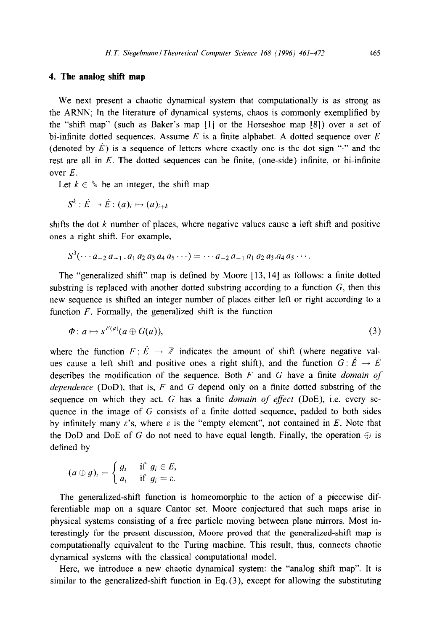## **4. The analog shift map**

We next present a chaotic dynamical system that computationally is as strong as the ARNN; In the literature of dynamical systems, chaos is commonly exemplified by the "shift map" (such as Baker's map [l] or the Horseshoe map [S]) over a set of bi-infinite dotted sequences. Assume *E* is a finite alphabet. A dotted sequence over *E*  (denoted by  $\dot{E}$ ) is a sequence of letters where exactly one is the dot sign "." and the rest are all in *E.* The dotted sequences can be finite, (one-side) infinite, or bi-infinite over *E.* 

Let  $k \in \mathbb{N}$  be an integer, the shift map

 $S^k : \dot{E} \rightarrow \dot{E} : (a)_i \mapsto (a)_{i+k}$ 

shifts the dot  $k$  number of places, where negative values cause a left shift and positive ones a right shift. For example,

$$
S^{3}(\cdots a_{-2} a_{-1} a_1 a_2 a_3 a_4 a_5 \cdots) = \cdots a_{-2} a_{-1} a_1 a_2 a_3 a_4 a_5 \cdots
$$

The "generalized shift" map is defined by Moore [ 13, 141 as follows: a finite dotted substring is replaced with another dotted substring according to a function  $G$ , then this new sequence is shifted an integer number of places either left or right according to a function *F*. Formally, the generalized shift is the function

$$
\Phi: a \mapsto s^{F(a)}(a \oplus G(a)), \tag{3}
$$

where the function  $F: \dot{E} \to \mathbb{Z}$  indicates the amount of shift (where negative values cause a left shift and positive ones a right shift), and the function  $G: \vec{E} \to \vec{E}$ describes the modification of the sequence. Both *F* and G have a finite *domain of dependence* (DOD), that is, *F* and G depend only on a finite dotted substring of the sequence on which they act. G has a finite *domain of effect* (DOE), i.e. every sequence in the image of  $G$  consists of a finite dotted sequence, padded to both sides by infinitely many  $\varepsilon$ 's, where  $\varepsilon$  is the "empty element", not contained in *E*. Note that the DoD and DoE of G do not need to have equal length. Finally, the operation  $\oplus$  is defined by

$$
(a \oplus g)_i = \begin{cases} g_i & \text{if } g_i \in E, \\ a_i & \text{if } g_i = \varepsilon. \end{cases}
$$

The generalized-shift function is homeomorphic to the action of a piecewise differentiable map on a square Cantor set. Moore conjectured that such maps arise in physical systems consisting of a free particle moving between plane mirrors. Most interestingly for the present discussion, Moore proved that the generalized-shift map is computationally equivalent to the Turing machine. This result, thus, connects chaotic dynamical systems with the classical computational model.

Here, we introduce a new chaotic dynamical system: the "analog shift map". It is similar to the generalized-shift function in Eq.  $(3)$ , except for allowing the substituting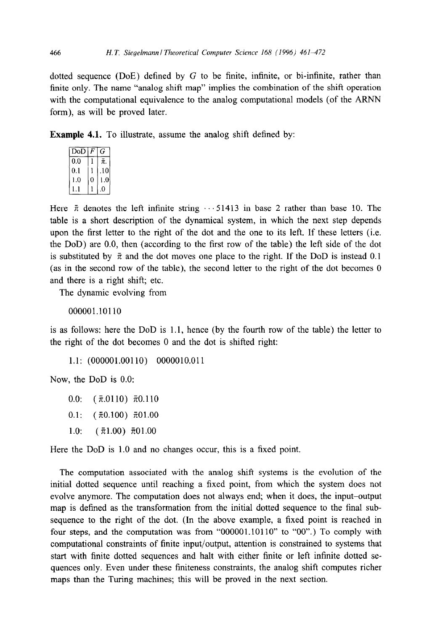dotted sequence (DoE) defined by  $G$  to be finite, infinite, or bi-infinite, rather than finite only. The name "analog shift map" implies the combination of the shift operation with the computational equivalence to the analog computational models (of the ARNN form), as will be proved later.

**Example 4.1.** To illustrate, assume the analog shift defined by:

| $\overline{DoD}$ | F | G                |  |  |  |  |
|------------------|---|------------------|--|--|--|--|
| 0.0              |   | π.               |  |  |  |  |
| 0.1              |   | .10 <sup>1</sup> |  |  |  |  |
| 1.0              | 0 | 1.0              |  |  |  |  |
|                  |   | 0                |  |  |  |  |
|                  |   |                  |  |  |  |  |

Here  $\bar{\pi}$  denotes the left infinite string  $\cdots$  51413 in base 2 rather than base 10. The table is a short description of the dynamical system, in which the next step depends upon the first letter to the right of the dot and the one to its left. If these letters (i.e. the DOD) are 0.0, then (according to the first row of the table) the left side of the dot is substituted by  $\bar{\pi}$  and the dot moves one place to the right. If the DoD is instead 0.1 (as in the second row of the table), the second letter to the right of the dot becomes 0 and there is a right shift; etc.

The dynamic evolving from

000001.10110

is as follows: here the DOD is 1.1, hence (by the fourth row of the table) the letter to the right of the dot becomes 0 and the dot is shifted right:

1.1: (000001.00110) 0000010.011

Now, the DOD is 0.0:

0.0:  $(\bar{\pi}.0110)$   $\bar{\pi}$ 0.110

0.1:  $(\bar{\pi}0.100)$   $\bar{\pi}01.00$ 

1.0:  $(\bar{\pi}1.00)$   $\bar{\pi}01.00$ 

Here the DoD is 1.0 and no changes occur, this is a fixed point.

The computation associated with the analog shift systems is the evolution of the initial dotted sequence until reaching a fixed point, from which the system does not evolve anymore. The computation does not always end; when it does, the input-output map is defined as the transformation from the initial dotted sequence to the final subsequence to the right of the dot. (In the above example, a fixed point is reached in four steps, and the computation was from "000001.10110" to "OO".) To comply with computational constraints of finite input/output, attention is constrained to systems that start with finite dotted sequences and halt with either finite or left infinite dotted sequences only. Even under these finiteness constraints, the analog shift computes richer maps than the Turing machines; this will be proved in the next section.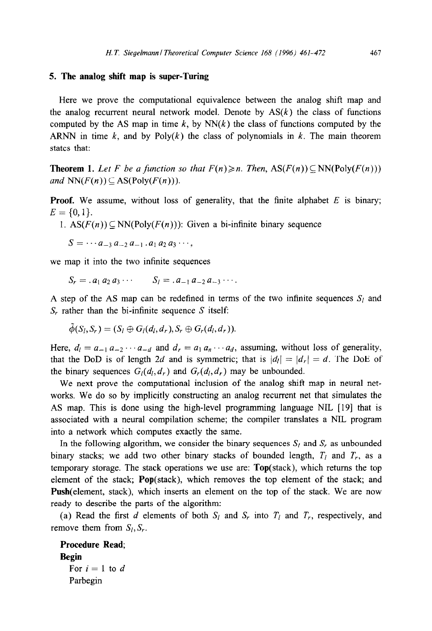## **5. The analog shift map is super-Turing**

Here we prove the computational equivalence between the analog shift map and the analog recurrent neural network model. Denote by  $AS(k)$  the class of functions computed by the AS map in time  $k$ , by  $NN(k)$  the class of functions computed by the ARNN in time  $k$ , and by  $Poly(k)$  the class of polynomials in  $k$ . The main theorem states that:

**Theorem 1.** Let F be a function so that  $F(n) \ge n$ . Then,  $\text{AS}(F(n)) \subseteq \text{NN}(\text{Poly}(F(n)))$ and  $NN(F(n)) \subseteq AS(Poly(F(n))).$ 

**Proof.** We assume, without loss of generality, that the finite alphabet  $E$  is binary;  $E = \{0, 1\}.$ 

1.  $\text{AS}(F(n)) \subseteq \text{NN}(\text{Poly}(F(n)))$ : Given a bi-infinite binary sequence

 $S = \cdots a_{-3} a_{-2} a_{-1} a_1 a_2 a_3 \cdots,$ 

we map it into the two infinite sequences

$$
S_r = .a_1 a_2 a_3 \cdots S_l = .a_{-1} a_{-2} a_{-3} \cdots
$$

A step of the AS map can be redefined in terms of the two infinite sequences  $S_l$  and  $S_r$  rather than the bi-infinite sequence S itself:

$$
\tilde{\phi}(S_l, S_r) = (S_l \oplus G_l(d_l, d_r), S_r \oplus G_r(d_l, d_r)).
$$

Here,  $d_l = a_{-1} a_{-2} \cdots a_{-d}$  and  $d_r = a_1 a_n \cdots a_d$ , assuming, without loss of generality, that the DoD is of length 2d and is symmetric; that is  $|d_l| = |d_r| = d$ . The DoE of the binary sequences  $G_l(d_l, d_r)$  and  $G_r(d_l, d_r)$  may be unbounded.

We next prove the computational inclusion of the analog shift map in neural networks. We do so by implicitly constructing an analog recurrent net that simulates the AS map. This is done using the high-level programming language NIL [19] that is associated with a neural compilation scheme; the compiler translates a NIL program into a network which computes exactly the same.

In the following algorithm, we consider the binary sequences  $S_l$  and  $S_r$  as unbounded binary stacks; we add two other binary stacks of bounded length,  $T_l$  and  $T_r$ , as a temporary storage. The stack operations we use are: Top(stack), which returns the top element of the stack; Pop(stack), which removes the top element of the stack; and Push(element, stack), which inserts an element on the top of the stack. We are now ready to describe the parts of the algorithm:

(a) Read the first *d* elements of both  $S_l$  and  $S_r$  into  $T_l$  and  $T_r$ , respectively, and remove them from  $S_l$ ,  $S_r$ .

Procedure Read; Begin For  $i = 1$  to  $d$ Parbegin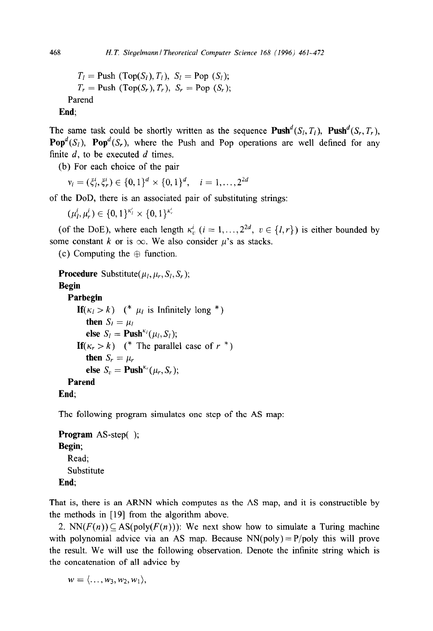$T_l = \text{Push } (\text{Top}(S_l), T_l), S_l = \text{Pop } (S_l);$  $T_r = \text{Push } (\text{Top}(S_r), T_r), S_r = \text{Pop } (S_r);$ Parend

**End;** 

The same task could be shortly written as the sequence  $\text{Push}^d(S_l, T_l)$ ,  $\text{Push}^d(S_r, T_r)$ , **Pop**<sup>d</sup>(S<sub>l</sub>), **Pop**<sup>d</sup>(S<sub>r</sub>), where the Push and Pop operations are well defined for any finite *d,* to be executed *d* times.

(b) For each choice of the pair

 $v_i = (\xi_i^i, \xi_r^i) \in \{0, 1\}^d \times \{0, 1\}^d, \quad i = 1, \ldots, 2^{2d}$ 

of the DOD, there is an associated pair of substituting strings:

 $(\mu_l^i, \mu_r^i) \in \{0,1\}^{\kappa_l'} \times \{0,1\}^{\kappa_r'}$ 

(of the DoE), where each length  $\kappa$ <sup>*i*</sup>,  $(i = 1, ..., 2^{2d}, v \in \{l, r\})$  is either bounded by some constant *k* or is  $\infty$ . We also consider  $\mu$ 's as stacks.

(c) Computing the  $\oplus$  function.

**Procedure** Substitute( $\mu_l, \mu_r, S_l, S_r$ );

### **Begin**

# **Parbegin**

```
If(\kappa_l > k) (* \mu_l is Infinitely long *)
then S_l = \mu_lelse S_l = \text{Push}^{\kappa_l}(\mu_l, S_l);If(\kappa_r > k) (* The parallel case of r^*)
then S_r = \mu_relse S_v = \textbf{Push}^{\kappa_r}(\mu_r, S_r);Parend
```
**End;** 

The following program simulates one step of the AS map:

**Program** AS-step( ); **Begin;**  Read; Substitute **End;** 

That is, there is an ARNN which computes as the AS map, and it is constructible by the methods in [19] from the algorithm above.

2. NN( $F(n)$ )  $\subseteq$  AS(poly( $F(n)$ )): We next show how to simulate a Turing machine with polynomial advice via an AS map. Because  $NN(poly) = P/poly$  this will prove the result. We will use the following observation. Denote the infinite string which is the concatenation of all advice by

 $w = \langle \ldots, w_3, w_2, w_1 \rangle$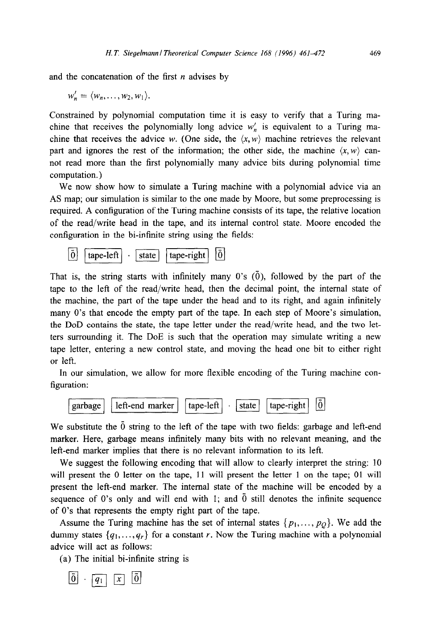and the concatenation of the first *n* advises by

 $w'_n = \langle w_n, \ldots, w_2, w_1 \rangle$ .

Constrained by polynomial computation time it is easy to verify that a Turing machine that receives the polynomially long advice  $w'_n$  is equivalent to a Turing machine that receives the advice w. (One side, the  $\langle x, w \rangle$  machine retrieves the relevant part and ignores the rest of the information; the other side, the machine  $\langle x, w \rangle$  cannot read more than the first polynomially many advice bits during polynomial time computation.)

We now show how to simulate a Turing machine with a polynomial advice via an AS map; our simulation is similar to the one made by Moore, but some preprocessing is required. A configuration of the Turing machine consists of its tape, the relative location of the read/write head in the tape, and its internal control state. Moore encoded the configuration in the bi-infinite string using the fields:



That is, the string starts with infinitely many 0's  $(\bar{0})$ , followed by the part of the tape to the left of the read/write head, then the decimal point, the internal state of the machine, the part of the tape under the head and to its right, and again infinitely many O's that encode the empty part of the tape. In each step of Moore's simulation, the DOD contains the state, the tape letter under the read/write head, and the two letters surrounding it. The DOE is such that the operation may simulate writing a new tape letter, entering a new control state, and moving the head one bit to either right or left.

In our simulation, we allow for more flexible encoding of the Turing machine configuration:



We substitute the 0 string to the left of the tape with two fields: garbage and left-end marker. Here, garbage means infinitely many bits with no relevant meaning, and the left-end marker implies that there is no relevant information to its left.

We suggest the following encoding that will allow to clearly interpret the string: 10 will present the 0 letter on the tape, 11 will present the letter 1 on the tape; 01 will present the left-end marker. The internal state of the machine will be encoded by a sequence of 0's only and will end with 1; and  $\overline{0}$  still denotes the infinite sequence of O's that represents the empty right part of the tape.

Assume the Turing machine has the set of internal states  $\{p_1, \ldots, p_Q\}$ . We add the dummy states  $\{q_1, \ldots, q_r\}$  for a constant r. Now the Turing machine with a polynomial advice will act as follows:

(a) The initial bi-infinite string is

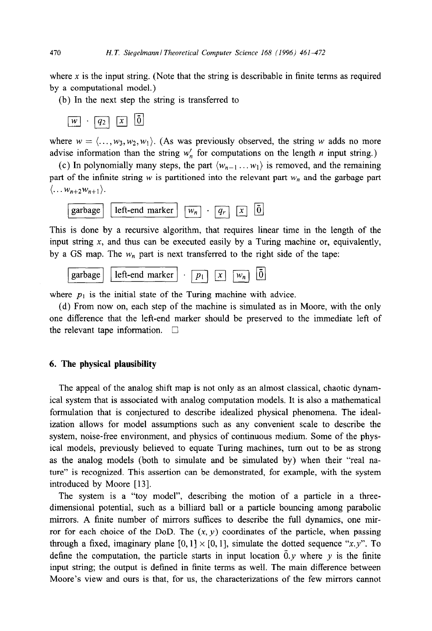where x is the input string. (Note that the string is describable in finite terms as required by a computational model.)

(b) In the next step the string is transferred to

$$
w \cdot q_2 \mid x \mid 0
$$

where  $w = \langle \dots, w_3, w_2, w_1 \rangle$ . (As was previously observed, the string w adds no more advise information than the string  $w'_n$  for computations on the length *n* input string.)

(c) In polynomially many steps, the part  $\langle w_{n-1} \dots w_1 \rangle$  is removed, and the remaining part of the infinite string w is partitioned into the relevant part  $w_n$  and the garbage part  $\langle \ldots w_{n+2} w_{n+1} \rangle$ .

$$
\boxed{\text{garbage}} \quad \boxed{\text{left-end marker}} \quad \boxed{w_n} \quad \boxed{q_r} \quad \boxed{x} \quad \boxed{0}
$$

This is done by a recursive algorithm, that requires linear time in the length of the input string  $x$ , and thus can be executed easily by a Turing machine or, equivalently, by a GS map. The  $w_n$  part is next transferred to the right side of the tape:



where  $p_1$  is the initial state of the Turing machine with advice.

(d) From now on, each step of the machine is simulated as in Moore, with the only one difference that the left-end marker should be preserved to the immediate left of the relevant tape information.  $\square$ 

## 6. **The physical plausibility**

The appeal of the analog shift map is not only as an almost classical, chaotic dynamical system that is associated with analog computation models. It is also a mathematical formulation that is conjectured to describe idealized physical phenomena. The idealization allows for model assumptions such as any convenient scale to describe the system, noise-free environment, and physics of continuous medium. Some of the physical models, previously believed to equate Turing machines, turn out to be as strong as the analog models (both to simulate and be simulated by) when their "real nature" is recognized. This assertion can be demonstrated, for example, with the system introduced by Moore [13].

The system is a "toy model", describing the motion of a particle in a threedimensional potential, such as a billiard ball or a particle bouncing among parabolic mirrors. A finite number of mirrors suffices to describe the full dynamics, one mirror for each choice of the DoD. The  $(x, y)$  coordinates of the particle, when passing through a fixed, imaginary plane  $[0, 1] \times [0, 1]$ , simulate the dotted sequence "x.y". To define the computation, the particle starts in input location  $\overline{0}$ , where y is the finite input string; the output is defined in finite terms as well. The main difference between Moore's view and ours is that, for us, the characterizations of the few mirrors cannot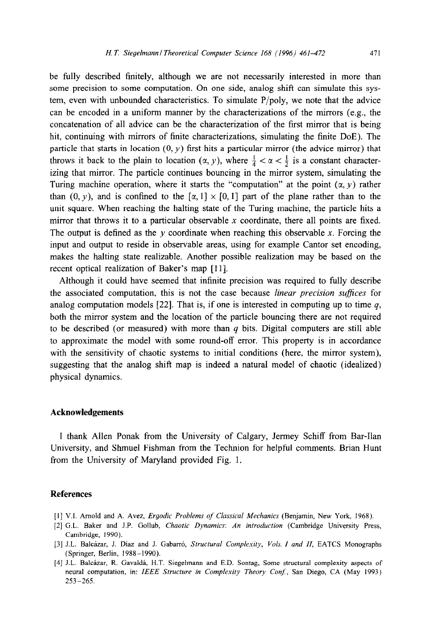be fully described finitely, although we are not necessarily interested in more than some precision to some computation. On one side, analog shift can simulate this system, even with unbounded characteristics. To simulate  $P/poly$ , we note that the advice can be encoded in a uniform manner by the characterizations of the mirrors (e.g., the concatenation of all advice can be the characterization of the first mirror that is being hit, continuing with mirrors of finite characterizations, simulating the finite DOE). The particle that starts in location  $(0, y)$  first hits a particular mirror (the advice mirror) that throws it back to the plain to location  $(\alpha, y)$ , where  $\frac{1}{4} < \alpha < \frac{1}{2}$  is a constant characterizing that mirror. The particle continues bouncing in the mirror system, simulating the Turing machine operation, where it starts the "computation" at the point  $(\alpha, y)$  rather than  $(0, y)$ , and is confined to the  $[\alpha, 1] \times [0, 1]$  part of the plane rather than to the unit square. When reaching the halting state of the Turing machine, the particle hits a mirror that throws it to a particular observable x coordinate, there all points are fixed. The output is defined as the y coordinate when reaching this observable x. Forcing the input and output to reside in observable areas, using for example Cantor set encoding, makes the halting state realizable. Another possible realization may be based on the recent optical realization of Baker's map [11].

Although it could have seemed that infinite precision was required to fully describe the associated computation, this is not the case because *linear precision suffices* for analog computation models [22]. That is, if one is interested in computing up to time *q,*  both the mirror system and the location of the particle bouncing there are not required to be described (or measured) with more than *q* bits. Digital computers are still able to approximate the model with some round-off error. This property is in accordance with the sensitivity of chaotic systems to initial conditions (here, the mirror system), suggesting that the analog shift map is indeed a natural model of chaotic (idealized) physical dynamics.

#### **Acknowledgements**

I thank Allen Ponak from the University of Calgary, Jermey Schiff from Bar-Ilan University, and Shmuel Fishman from the Technion for helpful comments. Brian Hunt from the University of Maryland provided Fig. 1.

#### **References**

- [I] V.I. Arnold and A. Avez, *Ergodic Problems of Classical Mechanics* (Benjamin, New York, 1968).
- [2] G.L. Baker and J.P. Gollub, *Chaotic Dynamics: An introduction* (Cambridge University Press, Cambridge, 1990).
- [3] J.L. Balcázar, J. Díaz and J. Gabarró, *Structural Complexity, Vols. I and II*, EATCS Monographs (Springer, Berlin, 1988-1990).
- [4] J.L. Balcázar, R. Gavaldá, H.T. Siegelmann and E.D. Sontag, Some structural complexity aspects of neural computation, in: IEEE *Structure in Complexity Theory Conf,* San Diego, CA (May 1993)  $253 - 265$ .